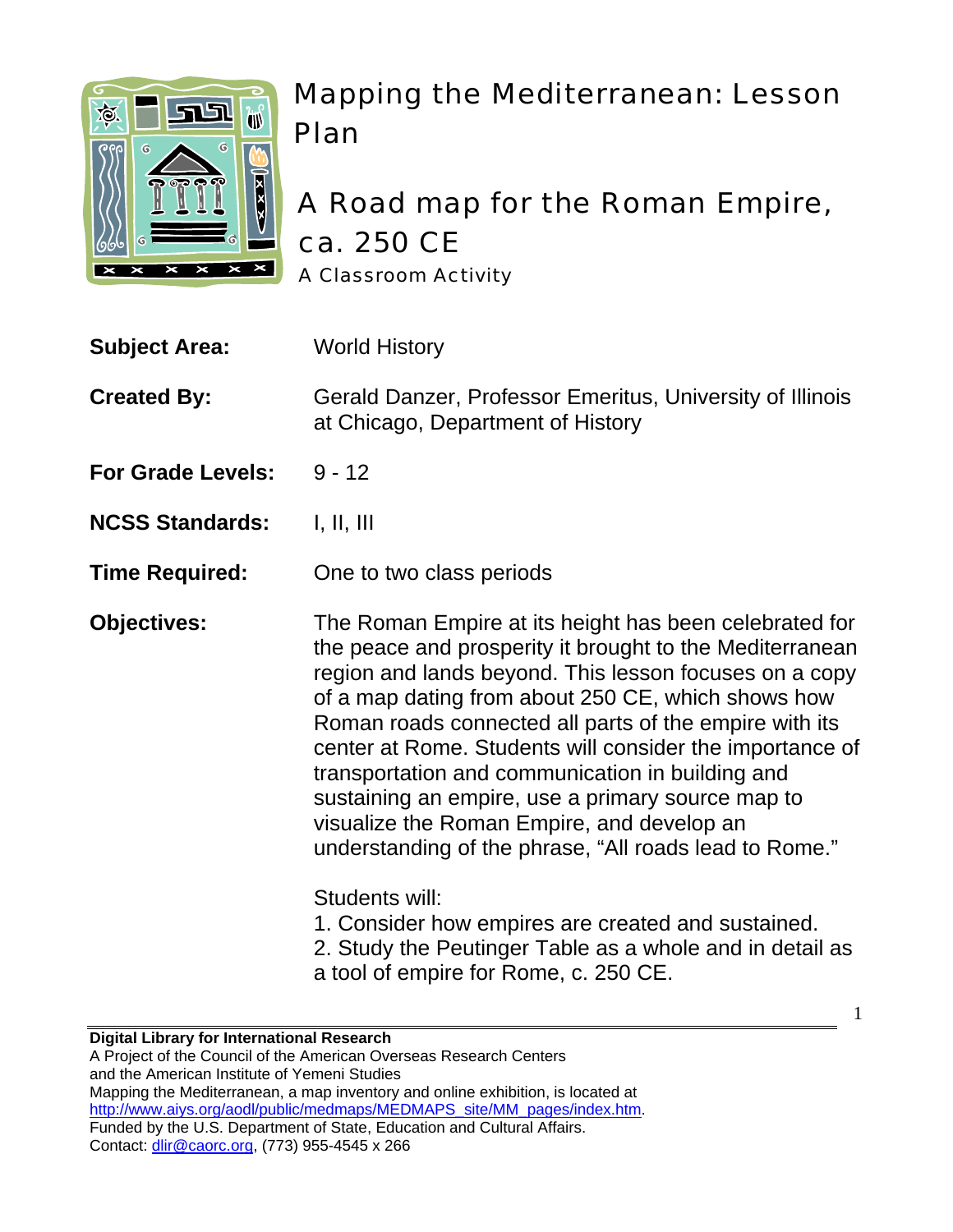

# Mapping the Mediterranean: Lesson Plan

## A Road map for the Roman Empire, ca. 250 CE A Classroom Activity

| <b>Subject Area:</b> | <b>World History</b> |
|----------------------|----------------------|
|                      |                      |

**Created By:** Gerald Danzer, Professor Emeritus, University of Illinois at Chicago, Department of History

- **For Grade Levels: 9 12**
- **NCSS Standards: I, II, III**

**Time Required:** One to two class periods

**Objectives:** The Roman Empire at its height has been celebrated for the peace and prosperity it brought to the Mediterranean region and lands beyond. This lesson focuses on a copy of a map dating from about 250 CE, which shows how Roman roads connected all parts of the empire with its center at Rome. Students will consider the importance of transportation and communication in building and sustaining an empire, use a primary source map to visualize the Roman Empire, and develop an understanding of the phrase, "All roads lead to Rome."

Students will:

1. Consider how empires are created and sustained.

2. Study the Peutinger Table as a whole and in detail as a tool of empire for Rome, c. 250 CE.

1

#### **Digital Library for International Research**

A Project of the Council of the American Overseas Research Centers and the American Institute of Yemeni Studies Mapping the Mediterranean, a map inventory and online exhibition, is located at http://www.aiys.org/aodl/public/medmaps/MEDMAPS\_site/MM\_pages/index.htm. Funded by the U.S. Department of State, Education and Cultural Affairs. Contact: dlir@caorc.org, (773) 955-4545 x 266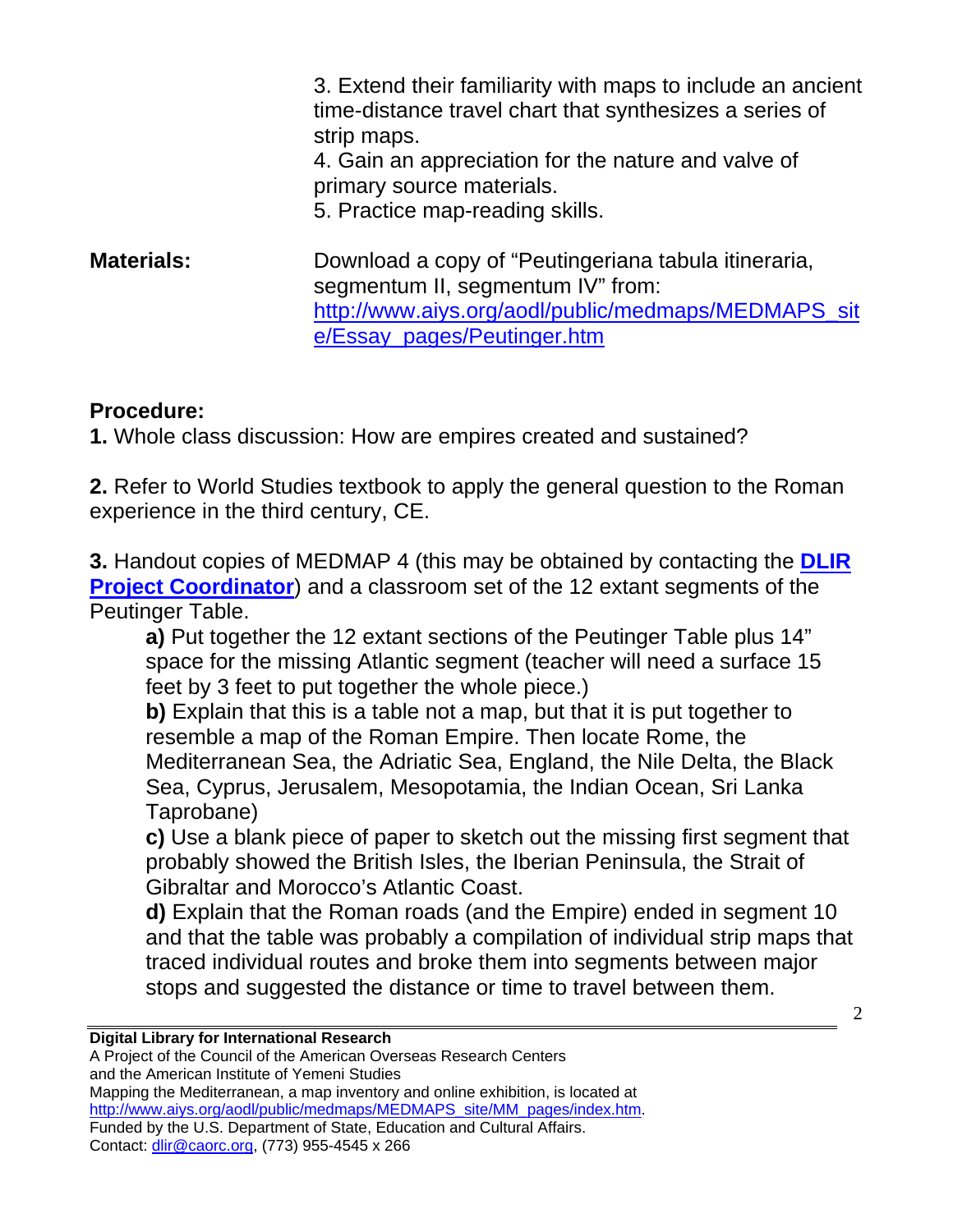3. Extend their familiarity with maps to include an ancient time-distance travel chart that synthesizes a series of strip maps.

4. Gain an appreciation for the nature and valve of primary source materials.

5. Practice map-reading skills.

**Materials:** Download a copy of "Peutingeriana tabula itineraria, segmentum II, segmentum IV" from: [http://www.aiys.org/aodl/public/medmaps/MEDMAPS\\_sit](http://www.aiys.org/aodl/public/medmaps/MEDMAPS_site/Essay_pages/Peutinger.htm) [e/Essay\\_pages/Peutinger.htm](http://www.aiys.org/aodl/public/medmaps/MEDMAPS_site/Essay_pages/Peutinger.htm)

### **Procedure:**

**1.** Whole class discussion: How are empires created and sustained?

**2.** Refer to World Studies textbook to apply the general question to the Roman experience in the third century, CE.

**3.** Handout copies of MEDMAP 4 (this may be obtained by contacting the **[DLIR](mailto:dlir@caorc.org)  [Project Coordinator](mailto:dlir@caorc.org)**) and a classroom set of the 12 extant segments of the Peutinger Table.

**a)** Put together the 12 extant sections of the Peutinger Table plus 14" space for the missing Atlantic segment (teacher will need a surface 15 feet by 3 feet to put together the whole piece.)

**b)** Explain that this is a table not a map, but that it is put together to resemble a map of the Roman Empire. Then locate Rome, the Mediterranean Sea, the Adriatic Sea, England, the Nile Delta, the Black Sea, Cyprus, Jerusalem, Mesopotamia, the Indian Ocean, Sri Lanka Taprobane)

**c)** Use a blank piece of paper to sketch out the missing first segment that probably showed the British Isles, the Iberian Peninsula, the Strait of Gibraltar and Morocco's Atlantic Coast.

**d)** Explain that the Roman roads (and the Empire) ended in segment 10 and that the table was probably a compilation of individual strip maps that traced individual routes and broke them into segments between major stops and suggested the distance or time to travel between them.

#### **Digital Library for International Research**

A Project of the Council of the American Overseas Research Centers and the American Institute of Yemeni Studies Mapping the Mediterranean, a map inventory and online exhibition, is located at http://www.aiys.org/aodl/public/medmaps/MEDMAPS\_site/MM\_pages/index.htm. Funded by the U.S. Department of State, Education and Cultural Affairs. Contact: dlir@caorc.org, (773) 955-4545 x 266

 $\mathcal{L}$